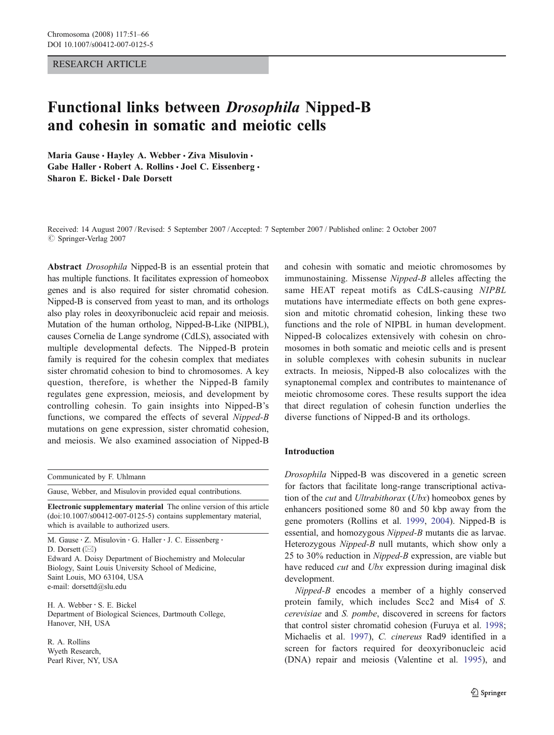# RESEARCH ARTICLE

# Functional links between Drosophila Nipped-B and cohesin in somatic and meiotic cells

Maria Gause · Hayley A. Webber · Ziva Misulovin · Gabe Haller · Robert A. Rollins · Joel C. Eissenberg · Sharon E. Bickel · Dale Dorsett

Received: 14 August 2007 /Revised: 5 September 2007 /Accepted: 7 September 2007 / Published online: 2 October 2007  $\oslash$  Springer-Verlag 2007

Abstract Drosophila Nipped-B is an essential protein that has multiple functions. It facilitates expression of homeobox genes and is also required for sister chromatid cohesion. Nipped-B is conserved from yeast to man, and its orthologs also play roles in deoxyribonucleic acid repair and meiosis. Mutation of the human ortholog, Nipped-B-Like (NIPBL), causes Cornelia de Lange syndrome (CdLS), associated with multiple developmental defects. The Nipped-B protein family is required for the cohesin complex that mediates sister chromatid cohesion to bind to chromosomes. A key question, therefore, is whether the Nipped-B family regulates gene expression, meiosis, and development by controlling cohesin. To gain insights into Nipped-B's functions, we compared the effects of several Nipped-B mutations on gene expression, sister chromatid cohesion, and meiosis. We also examined association of Nipped-B

| Communicated by F. Uhlmann                                 |  |
|------------------------------------------------------------|--|
| Gause, Webber, and Misulovin provided equal contributions. |  |

Electronic supplementary material The online version of this article (doi:[10.1007/s00412-007-0125-5](http://dx.doi.org/10.1007/s00412-007-0125-5)) contains supplementary material, which is available to authorized users.

M. Gause : Z. Misulovin : G. Haller : J. C. Eissenberg : D. Dorsett (*\**) Edward A. Doisy Department of Biochemistry and Molecular Biology, Saint Louis University School of Medicine, Saint Louis, MO 63104, USA e-mail: dorsettd@slu.edu

H. A. Webber : S. E. Bickel Department of Biological Sciences, Dartmouth College, Hanover, NH, USA

R. A. Rollins Wyeth Research, Pearl River, NY, USA

and cohesin with somatic and meiotic chromosomes by immunostaining. Missense Nipped-B alleles affecting the same HEAT repeat motifs as CdLS-causing NIPBL mutations have intermediate effects on both gene expression and mitotic chromatid cohesion, linking these two functions and the role of NIPBL in human development. Nipped-B colocalizes extensively with cohesin on chromosomes in both somatic and meiotic cells and is present in soluble complexes with cohesin subunits in nuclear extracts. In meiosis, Nipped-B also colocalizes with the synaptonemal complex and contributes to maintenance of meiotic chromosome cores. These results support the idea that direct regulation of cohesin function underlies the diverse functions of Nipped-B and its orthologs.

### Introduction

Drosophila Nipped-B was discovered in a genetic screen for factors that facilitate long-range transcriptional activation of the cut and Ultrabithorax (Ubx) homeobox genes by enhancers positioned some 80 and 50 kbp away from the gene promoters (Rollins et al. [1999](#page-15-0), [2004\)](#page-15-0). Nipped-B is essential, and homozygous Nipped-B mutants die as larvae. Heterozygous Nipped-B null mutants, which show only a 25 to 30% reduction in Nipped-B expression, are viable but have reduced *cut* and *Ubx* expression during imaginal disk development.

Nipped-B encodes a member of a highly conserved protein family, which includes Scc2 and Mis4 of S. cerevisiae and S. pombe, discovered in screens for factors that control sister chromatid cohesion (Furuya et al. [1998;](#page-14-0) Michaelis et al. [1997](#page-14-0)), C. cinereus Rad9 identified in a screen for factors required for deoxyribonucleic acid (DNA) repair and meiosis (Valentine et al. [1995\)](#page-15-0), and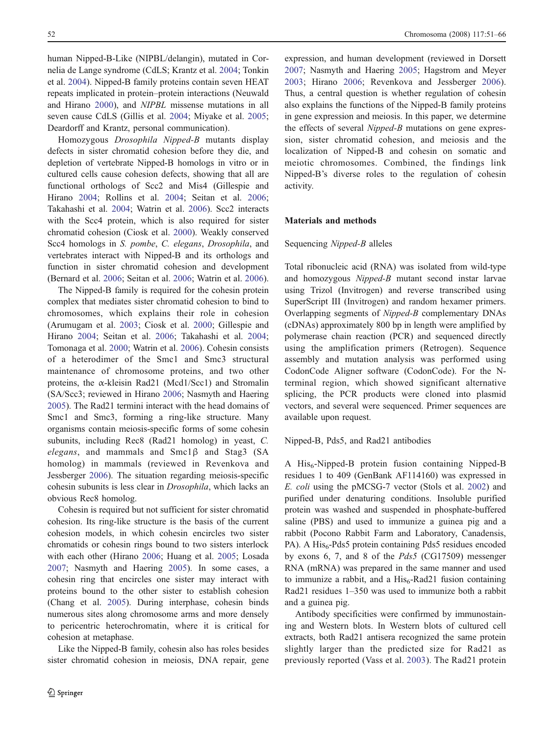human Nipped-B-Like (NIPBL/delangin), mutated in Cornelia de Lange syndrome (CdLS; Krantz et al. [2004;](#page-14-0) Tonkin et al. [2004](#page-15-0)). Nipped-B family proteins contain seven HEAT repeats implicated in protein–protein interactions (Neuwald and Hirano [2000\)](#page-15-0), and NIPBL missense mutations in all seven cause CdLS (Gillis et al. [2004](#page-14-0); Miyake et al. [2005](#page-14-0); Deardorff and Krantz, personal communication).

Homozygous Drosophila Nipped-B mutants display defects in sister chromatid cohesion before they die, and depletion of vertebrate Nipped-B homologs in vitro or in cultured cells cause cohesion defects, showing that all are functional orthologs of Scc2 and Mis4 (Gillespie and Hirano [2004;](#page-14-0) Rollins et al. [2004;](#page-15-0) Seitan et al. [2006](#page-15-0); Takahashi et al. [2004](#page-15-0); Watrin et al. [2006\)](#page-15-0). Scc2 interacts with the Scc4 protein, which is also required for sister chromatid cohesion (Ciosk et al. [2000](#page-14-0)). Weakly conserved Scc4 homologs in S. pombe, C. elegans, Drosophila, and vertebrates interact with Nipped-B and its orthologs and function in sister chromatid cohesion and development (Bernard et al. [2006](#page-13-0); Seitan et al. [2006](#page-15-0); Watrin et al. [2006](#page-15-0)).

The Nipped-B family is required for the cohesin protein complex that mediates sister chromatid cohesion to bind to chromosomes, which explains their role in cohesion (Arumugam et al. [2003;](#page-13-0) Ciosk et al. [2000](#page-14-0); Gillespie and Hirano [2004](#page-14-0); Seitan et al. [2006](#page-15-0); Takahashi et al. [2004](#page-15-0); Tomonaga et al. [2000](#page-15-0); Watrin et al. [2006](#page-15-0)). Cohesin consists of a heterodimer of the Smc1 and Smc3 structural maintenance of chromosome proteins, and two other proteins, the  $\alpha$ -kleisin Rad21 (Mcd1/Scc1) and Stromalin (SA/Scc3; reviewed in Hirano [2006](#page-14-0); Nasmyth and Haering [2005\)](#page-15-0). The Rad21 termini interact with the head domains of Smc1 and Smc3, forming a ring-like structure. Many organisms contain meiosis-specific forms of some cohesin subunits, including Rec8 (Rad21 homolog) in yeast, C. elegans, and mammals and Smc1β and Stag3 (SA homolog) in mammals (reviewed in Revenkova and Jessberger [2006\)](#page-15-0). The situation regarding meiosis-specific cohesin subunits is less clear in Drosophila, which lacks an obvious Rec8 homolog.

Cohesin is required but not sufficient for sister chromatid cohesion. Its ring-like structure is the basis of the current cohesion models, in which cohesin encircles two sister chromatids or cohesin rings bound to two sisters interlock with each other (Hirano [2006;](#page-14-0) Huang et al. [2005;](#page-14-0) Losada [2007](#page-14-0); Nasmyth and Haering [2005](#page-15-0)). In some cases, a cohesin ring that encircles one sister may interact with proteins bound to the other sister to establish cohesion (Chang et al. [2005\)](#page-14-0). During interphase, cohesin binds numerous sites along chromosome arms and more densely to pericentric heterochromatin, where it is critical for cohesion at metaphase.

Like the Nipped-B family, cohesin also has roles besides sister chromatid cohesion in meiosis, DNA repair, gene expression, and human development (reviewed in Dorsett [2007](#page-14-0); Nasmyth and Haering [2005;](#page-15-0) Hagstrom and Meyer [2003](#page-14-0); Hirano [2006](#page-14-0); Revenkova and Jessberger [2006](#page-15-0)). Thus, a central question is whether regulation of cohesin also explains the functions of the Nipped-B family proteins in gene expression and meiosis. In this paper, we determine the effects of several Nipped-B mutations on gene expression, sister chromatid cohesion, and meiosis and the localization of Nipped-B and cohesin on somatic and meiotic chromosomes. Combined, the findings link Nipped-B's diverse roles to the regulation of cohesin activity.

# Materials and methods

#### Sequencing Nipped-B alleles

Total ribonucleic acid (RNA) was isolated from wild-type and homozygous Nipped-B mutant second instar larvae using Trizol (Invitrogen) and reverse transcribed using SuperScript III (Invitrogen) and random hexamer primers. Overlapping segments of Nipped-B complementary DNAs (cDNAs) approximately 800 bp in length were amplified by polymerase chain reaction (PCR) and sequenced directly using the amplification primers (Retrogen). Sequence assembly and mutation analysis was performed using CodonCode Aligner software (CodonCode). For the Nterminal region, which showed significant alternative splicing, the PCR products were cloned into plasmid vectors, and several were sequenced. Primer sequences are available upon request.

# Nipped-B, Pds5, and Rad21 antibodies

A  $His<sub>6</sub>$ -Nipped-B protein fusion containing Nipped-B residues 1 to 409 (GenBank AF114160) was expressed in E. coli using the pMCSG-7 vector (Stols et al. [2002\)](#page-15-0) and purified under denaturing conditions. Insoluble purified protein was washed and suspended in phosphate-buffered saline (PBS) and used to immunize a guinea pig and a rabbit (Pocono Rabbit Farm and Laboratory, Canadensis, PA). A His<sub>6</sub>-Pds5 protein containing Pds5 residues encoded by exons 6, 7, and 8 of the Pds5 (CG17509) messenger RNA (mRNA) was prepared in the same manner and used to immunize a rabbit, and a  $His<sub>6</sub>$ -Rad21 fusion containing Rad21 residues 1–350 was used to immunize both a rabbit and a guinea pig.

Antibody specificities were confirmed by immunostaining and Western blots. In Western blots of cultured cell extracts, both Rad21 antisera recognized the same protein slightly larger than the predicted size for Rad21 as previously reported (Vass et al. [2003](#page-15-0)). The Rad21 protein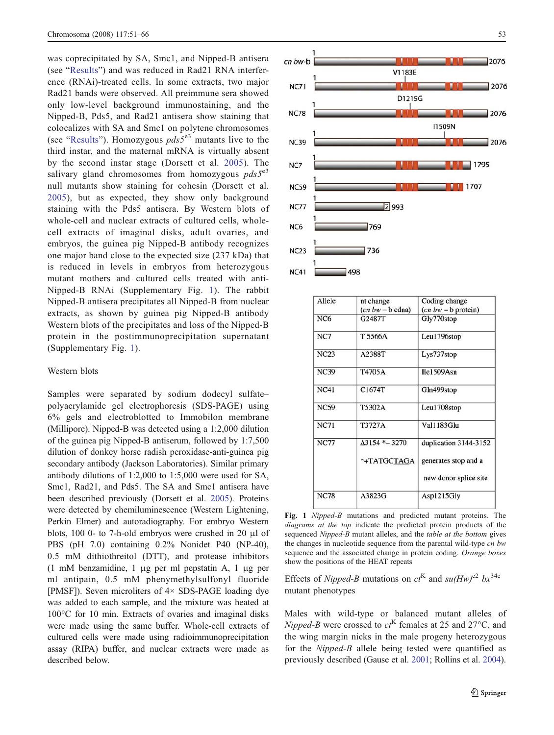<span id="page-2-0"></span>was coprecipitated by SA, Smc1, and Nipped-B antisera (see "[Results](#page-3-0)") and was reduced in Rad21 RNA interference (RNAi)-treated cells. In some extracts, two major Rad21 bands were observed. All preimmune sera showed only low-level background immunostaining, and the Nipped-B, Pds5, and Rad21 antisera show staining that colocalizes with SA and Smc1 on polytene chromosomes (see "[Results](#page-3-0)"). Homozygous  $pds5^{e3}$  mutants live to the third instar, and the maternal mRNA is virtually absent by the second instar stage (Dorsett et al. [2005\)](#page-14-0). The salivary gland chromosomes from homozygous  $pds5^{e3}$ null mutants show staining for cohesin (Dorsett et al. [2005\)](#page-14-0), but as expected, they show only background staining with the Pds5 antisera. By Western blots of whole-cell and nuclear extracts of cultured cells, wholecell extracts of imaginal disks, adult ovaries, and embryos, the guinea pig Nipped-B antibody recognizes one major band close to the expected size (237 kDa) that is reduced in levels in embryos from heterozygous mutant mothers and cultured cells treated with anti-Nipped-B RNAi (Supplementary Fig. 1). The rabbit Nipped-B antisera precipitates all Nipped-B from nuclear extracts, as shown by guinea pig Nipped-B antibody Western blots of the precipitates and loss of the Nipped-B protein in the postimmunoprecipitation supernatant (Supplementary Fig. 1).

# Western blots

Samples were separated by sodium dodecyl sulfate– polyacrylamide gel electrophoresis (SDS-PAGE) using 6% gels and electroblotted to Immobilon membrane (Millipore). Nipped-B was detected using a 1:2,000 dilution of the guinea pig Nipped-B antiserum, followed by 1:7,500 dilution of donkey horse radish peroxidase-anti-guinea pig secondary antibody (Jackson Laboratories). Similar primary antibody dilutions of 1:2,000 to 1:5,000 were used for SA, Smc1, Rad21, and Pds5. The SA and Smc1 antisera have been described previously (Dorsett et al. [2005](#page-14-0)). Proteins were detected by chemiluminescence (Western Lightening, Perkin Elmer) and autoradiography. For embryo Western blots, 100 0- to 7-h-old embryos were crushed in 20 μl of PBS (pH 7.0) containing 0.2% Nonidet P40 (NP-40), 0.5 mM dithiothreitol (DTT), and protease inhibitors (1 mM benzamidine, 1 μg per ml pepstatin A, 1 μg per ml antipain, 0.5 mM phenymethylsulfonyl fluoride [PMSF]). Seven microliters of 4× SDS-PAGE loading dye was added to each sample, and the mixture was heated at 100°C for 10 min. Extracts of ovaries and imaginal disks were made using the same buffer. Whole-cell extracts of cultured cells were made using radioimmunoprecipitation assay (RIPA) buffer, and nuclear extracts were made as described below.



| Allele          | nt change<br>$(cn bw - b cdna)$ | Coding change<br>$(cn bw - b protein)$ |
|-----------------|---------------------------------|----------------------------------------|
| NC <sub>6</sub> | G2487T                          | Gly770stop                             |
| NC7             | T 5566A                         | Leu1796stop                            |
| NC23            | A2388T                          | Lys737stop                             |
| <b>NC39</b>     | T4705A                          | Ile1509Asn                             |
| <b>NC41</b>     | C1674T                          | Gln499stop                             |
| <b>NC59</b>     | T5302A                          | Leu1708stop                            |
| <b>NC71</b>     | T3727A                          | Val1183Glu                             |
| <b>NC77</b>     | $\Delta$ 3154 * - 3270          | duplication 3144-3152                  |
|                 | *+TATGCTAGA                     | generates stop and a                   |
|                 |                                 | new donor splice site                  |
| <b>NC78</b>     | A3823G                          | Asp1215Gly                             |
|                 |                                 |                                        |

Fig. 1 Nipped-B mutations and predicted mutant proteins. The diagrams at the top indicate the predicted protein products of the sequenced Nipped-B mutant alleles, and the table at the bottom gives the changes in nucleotide sequence from the parental wild-type cn bw sequence and the associated change in protein coding. Orange boxes show the positions of the HEAT repeats

Effects of Nipped-B mutations on  $ct^{K}$  and  $su(Hw)^{e^2}$   $bx^{34e}$ mutant phenotypes

Males with wild-type or balanced mutant alleles of *Nipped-B* were crossed to  $ct^K$  females at 25 and 27<sup>o</sup>C, and the wing margin nicks in the male progeny heterozygous for the Nipped-B allele being tested were quantified as previously described (Gause et al. [2001;](#page-14-0) Rollins et al. [2004\)](#page-15-0).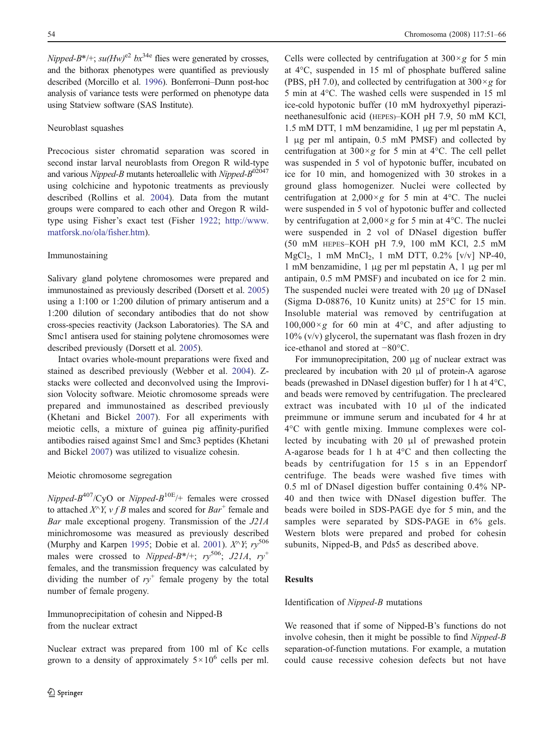<span id="page-3-0"></span>Nipped-B<sup>\*</sup>/+; su(Hw)<sup>e2</sup> bx<sup>34e</sup> flies were generated by crosses, and the bithorax phenotypes were quantified as previously described (Morcillo et al. [1996\)](#page-14-0). Bonferroni–Dunn post-hoc analysis of variance tests were performed on phenotype data using Statview software (SAS Institute).

# Neuroblast squashes

Precocious sister chromatid separation was scored in second instar larval neuroblasts from Oregon R wild-type and various Nipped-B mutants heteroallelic with Nipped- $B^{02047}$ using colchicine and hypotonic treatments as previously described (Rollins et al. [2004\)](#page-15-0). Data from the mutant groups were compared to each other and Oregon R wildtype using Fisher's exact test (Fisher [1922](#page-14-0); [http://www.](http://www.matforsk.no/ola/fisher.htm) [matforsk.no/ola/fisher.htm\)](http://www.matforsk.no/ola/fisher.htm).

#### Immunostaining

Salivary gland polytene chromosomes were prepared and immunostained as previously described (Dorsett et al. [2005\)](#page-14-0) using a 1:100 or 1:200 dilution of primary antiserum and a 1:200 dilution of secondary antibodies that do not show cross-species reactivity (Jackson Laboratories). The SA and Smc1 antisera used for staining polytene chromosomes were described previously (Dorsett et al. [2005](#page-14-0)).

Intact ovaries whole-mount preparations were fixed and stained as described previously (Webber et al. [2004\)](#page-15-0). Zstacks were collected and deconvolved using the Improvision Volocity software. Meiotic chromosome spreads were prepared and immunostained as described previously (Khetani and Bickel [2007\)](#page-14-0). For all experiments with meiotic cells, a mixture of guinea pig affinity-purified antibodies raised against Smc1 and Smc3 peptides (Khetani and Bickel [2007\)](#page-14-0) was utilized to visualize cohesin.

# Meiotic chromosome segregation

 $Nipped-B^{407}/CyO$  or  $Nipped-B^{10E}/+$  females were crossed to attached  $X^{\wedge}Y$ ,  $v f B$  males and scored for  $Bar^+$  female and Bar male exceptional progeny. Transmission of the J21A minichromosome was measured as previously described (Murphy and Karpen [1995;](#page-14-0) Dobie et al. [2001\)](#page-14-0).  $X^{\wedge}Y$ ;  $ry^{506}$ males were crossed to Nipped-B\*/+;  $ry^{506}$ ; J21A,  $ry^{+}$ females, and the transmission frequency was calculated by dividing the number of  $ry^+$  female progeny by the total number of female progeny.

Immunoprecipitation of cohesin and Nipped-B from the nuclear extract

Nuclear extract was prepared from 100 ml of Kc cells grown to a density of approximately  $5 \times 10^6$  cells per ml. Cells were collected by centrifugation at  $300 \times g$  for 5 min at 4°C, suspended in 15 ml of phosphate buffered saline (PBS, pH 7.0), and collected by centrifugation at  $300 \times g$  for 5 min at 4°C. The washed cells were suspended in 15 ml ice-cold hypotonic buffer (10 mM hydroxyethyl piperazineethanesulfonic acid (HEPES)–KOH pH 7.9, 50 mM KCl, 1.5 mM DTT, 1 mM benzamidine, 1 μg per ml pepstatin A, 1 μg per ml antipain, 0.5 mM PMSF) and collected by centrifugation at  $300 \times g$  for 5 min at 4°C. The cell pellet was suspended in 5 vol of hypotonic buffer, incubated on ice for 10 min, and homogenized with 30 strokes in a ground glass homogenizer. Nuclei were collected by centrifugation at  $2,000 \times g$  for 5 min at 4°C. The nuclei were suspended in 5 vol of hypotonic buffer and collected by centrifugation at  $2,000 \times g$  for 5 min at 4°C. The nuclei were suspended in 2 vol of DNaseI digestion buffer (50 mM HEPES–KOH pH 7.9, 100 mM KCl, 2.5 mM MgCl<sub>2</sub>, 1 mM MnCl<sub>2</sub>, 1 mM DTT, 0.2% [v/v] NP-40, 1 mM benzamidine, 1 μg per ml pepstatin A, 1 μg per ml antipain, 0.5 mM PMSF) and incubated on ice for 2 min. The suspended nuclei were treated with 20 μg of DNaseI (Sigma D-08876, 10 Kunitz units) at 25°C for 15 min. Insoluble material was removed by centrifugation at  $100,000 \times g$  for 60 min at 4°C, and after adjusting to  $10\%$  (v/v) glycerol, the supernatant was flash frozen in dry ice-ethanol and stored at −80°C.

For immunoprecipitation, 200 μg of nuclear extract was precleared by incubation with 20 μl of protein-A agarose beads (prewashed in DNaseI digestion buffer) for 1 h at 4°C, and beads were removed by centrifugation. The precleared extract was incubated with 10 μl of the indicated preimmune or immune serum and incubated for 4 hr at 4°C with gentle mixing. Immune complexes were collected by incubating with 20 μl of prewashed protein A-agarose beads for 1 h at 4°C and then collecting the beads by centrifugation for 15 s in an Eppendorf centrifuge. The beads were washed five times with 0.5 ml of DNaseI digestion buffer containing 0.4% NP-40 and then twice with DNaseI digestion buffer. The beads were boiled in SDS-PAGE dye for 5 min, and the samples were separated by SDS-PAGE in  $6\%$  gels. Western blots were prepared and probed for cohesin subunits, Nipped-B, and Pds5 as described above.

## Results

# Identification of Nipped-B mutations

We reasoned that if some of Nipped-B's functions do not involve cohesin, then it might be possible to find Nipped-B separation-of-function mutations. For example, a mutation could cause recessive cohesion defects but not have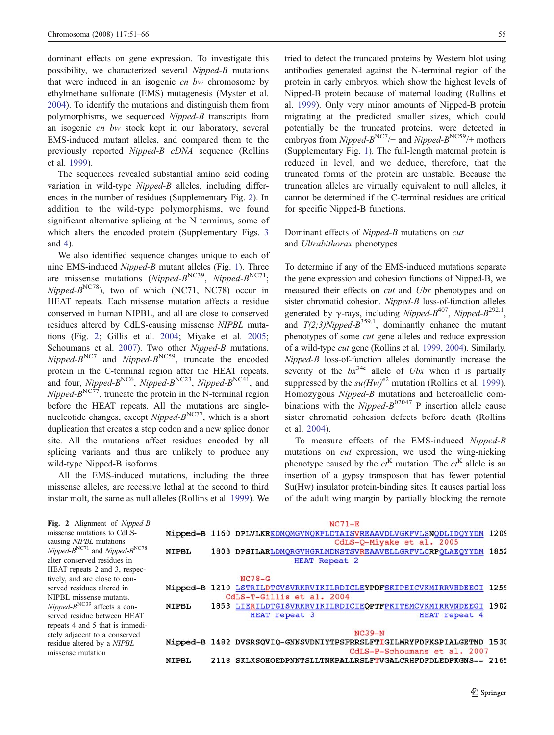dominant effects on gene expression. To investigate this possibility, we characterized several Nipped-B mutations that were induced in an isogenic cn bw chromosome by ethylmethane sulfonate (EMS) mutagenesis (Myster et al. [2004\)](#page-15-0). To identify the mutations and distinguish them from polymorphisms, we sequenced Nipped-B transcripts from an isogenic cn bw stock kept in our laboratory, several EMS-induced mutant alleles, and compared them to the previously reported Nipped-B cDNA sequence (Rollins et al. [1999](#page-15-0)).

The sequences revealed substantial amino acid coding variation in wild-type Nipped-B alleles, including differences in the number of residues (Supplementary Fig. 2). In addition to the wild-type polymorphisms, we found significant alternative splicing at the N terminus, some of which alters the encoded protein (Supplementary Figs. 3 and 4).

We also identified sequence changes unique to each of nine EMS-induced Nipped-B mutant alleles (Fig. [1](#page-2-0)). Three are missense mutations (Nipped- $B$ <sup>NC39</sup>, Nipped- $B$ <sup>NC71</sup>;  $Nipped-B<sup>NC78</sup>$ , two of which (NC71, NC78) occur in HEAT repeats. Each missense mutation affects a residue conserved in human NIPBL, and all are close to conserved residues altered by CdLS-causing missense NIPBL mutations (Fig. 2; Gillis et al. [2004](#page-14-0); Miyake et al. [2005](#page-14-0); Schoumans et al. [2007](#page-15-0)). Two other *Nipped-B* mutations,  $Nipped-B<sup>NC7</sup>$  and  $Nipped-B<sup>NC59</sup>$ , truncate the encoded protein in the C-terminal region after the HEAT repeats, and four, Nipped- $B$ <sup>NC6</sup>, Nipped- $B$ <sup>NC23</sup>, Nipped- $B$ <sup>NC41</sup>, and Nipped- $B<sup>NC77</sup>$ , truncate the protein in the N-terminal region before the HEAT repeats. All the mutations are singlenucleotide changes, except  $Nipped-B<sup>NC77</sup>$ , which is a short duplication that creates a stop codon and a new splice donor site. All the mutations affect residues encoded by all splicing variants and thus are unlikely to produce any wild-type Nipped-B isoforms.

All the EMS-induced mutations, including the three missense alleles, are recessive lethal at the second to third instar molt, the same as null alleles (Rollins et al. [1999\)](#page-15-0). We

tried to detect the truncated proteins by Western blot using antibodies generated against the N-terminal region of the protein in early embryos, which show the highest levels of Nipped-B protein because of maternal loading (Rollins et al. [1999\)](#page-15-0). Only very minor amounts of Nipped-B protein migrating at the predicted smaller sizes, which could potentially be the truncated proteins, were detected in embryos from Nipped- $B<sup>NC7</sup>/+$  and Nipped- $B<sup>NC59</sup>/+$  mothers (Supplementary Fig. 1). The full-length maternal protein is reduced in level, and we deduce, therefore, that the truncated forms of the protein are unstable. Because the truncation alleles are virtually equivalent to null alleles, it cannot be determined if the C-terminal residues are critical for specific Nipped-B functions.

Dominant effects of Nipped-B mutations on cut and Ultrabithorax phenotypes

To determine if any of the EMS-induced mutations separate the gene expression and cohesion functions of Nipped-B, we measured their effects on cut and Ubx phenotypes and on sister chromatid cohesion. Nipped-B loss-of-function alleles generated by  $\gamma$ -rays, including Nipped-B<sup>407</sup>, Nipped-B<sup>292.1</sup>, and  $T(2,3)Nipped-B^{359.1}$ , dominantly enhance the mutant phenotypes of some cut gene alleles and reduce expression of a wild-type cut gene (Rollins et al. [1999,](#page-15-0) [2004](#page-15-0)). Similarly, Nipped-B loss-of-function alleles dominantly increase the severity of the  $bx^{34e}$  allele of Ubx when it is partially suppressed by the  $su(Hw)^{e^2}$  mutation (Rollins et al. [1999](#page-15-0)). Homozygous Nipped-B mutations and heteroallelic combinations with the Nipped- $B^{02047}$  P insertion allele cause sister chromatid cohesion defects before death (Rollins et al. [2004](#page-15-0)).

To measure effects of the EMS-induced Nipped-B mutations on cut expression, we used the wing-nicking phenotype caused by the  $ct^{K}$  mutation. The  $ct^{K}$  allele is an insertion of a gypsy transposon that has fewer potential Su(Hw) insulator protein-binding sites. It causes partial loss of the adult wing margin by partially blocking the remote

Fig. 2 Alignment of Nipped-B missense mutations to CdLScausing NIPBL mutations.  $Nipped-B<sup>NC71</sup>$  and  $Nipped-B<sup>NC78</sup>$ alter conserved residues in HEAT repeats 2 and 3, respectively, and are close to conserved residues altered in NIPBL missense mutants. Nipped- $B$ <sup>NC39</sup> affects a conserved residue between HEAT repeats 4 and 5 that is immediately adjacent to a conserved residue altered by a NIPBL missense mutation

|              | $NC71-E$                                                              |      |
|--------------|-----------------------------------------------------------------------|------|
|              | Nipped-B 1160 DPLVLKRKDMQMGVNQKFLDTAISVREAAVDLVGKFVLSNQDLIDQYYDM 1209 |      |
|              | CdLS-Q-Miyake et al. 2005                                             |      |
| <b>NTPBL</b> | 1803 DPSILARLDMORGVHGRLMDNSTSVREAAVELLGRFVLCRPOLAEQYYDM 1852          |      |
|              | <b>HEAT Repeat 2</b>                                                  |      |
|              |                                                                       |      |
|              | $NC78-G$                                                              |      |
|              | Nipped-B 1210 LSTRILDTGVSVRKRVIKILRDICLEYPDFSKIPEICVKMIRRVHDEEGI      | 1259 |
|              | CdLS-T-Gillis et al. 2004                                             |      |
| NIPBL        | 1853 LIERILDTGISVRKRVIKILRDICIEQPTFPKITEMCVKMIRRVNDEEGI 1902          |      |
|              | HEAT repeat 3<br>HEAT repeat 4                                        |      |
|              |                                                                       |      |
|              | $NC39-N$                                                              |      |
|              | Nipped-B 1482 DVSRSQVIQ-GNNSVDNIYTPSFRRSLFTIGILMRYFDFKSPIALGETND 1530 |      |
|              | CdLS-P-Schoumans et al. 2007                                          |      |
| NIPBL        | 2118 SKLKSOHOEDPNNTSLLTNKPALLRSLFTVGALCRHFDFDLEDFKGNS-- 2165          |      |
|              |                                                                       |      |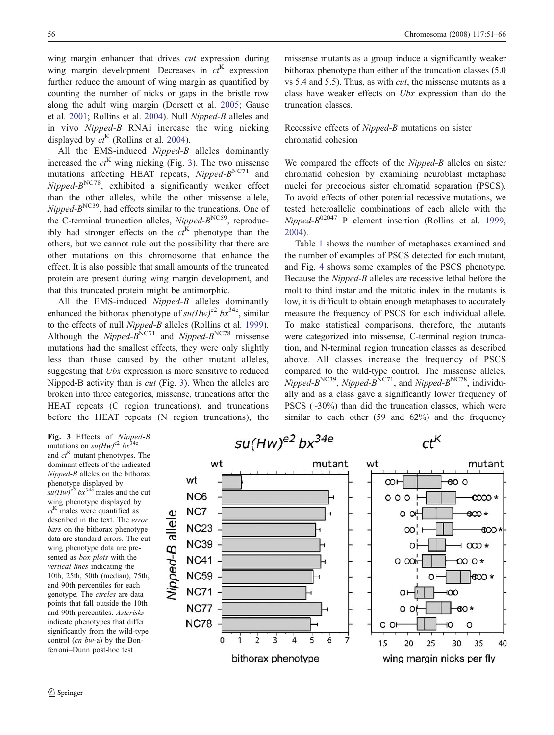wing margin enhancer that drives *cut* expression during wing margin development. Decreases in  $ct^{K}$  expression further reduce the amount of wing margin as quantified by counting the number of nicks or gaps in the bristle row along the adult wing margin (Dorsett et al. [2005](#page-14-0); Gause et al. [2001](#page-14-0); Rollins et al. [2004](#page-15-0)). Null Nipped-B alleles and in vivo Nipped-B RNAi increase the wing nicking displayed by  $ct^{K}$  (Rollins et al. [2004\)](#page-15-0).

All the EMS-induced Nipped-B alleles dominantly increased the  $ct^{K}$  wing nicking (Fig. 3). The two missense mutations affecting HEAT repeats,  $Nipped-B<sup>NC71</sup>$  and Nipped- $B<sup>NC78</sup>$ , exhibited a significantly weaker effect than the other alleles, while the other missense allele,  $Nipped-B<sup>NC39</sup>$ , had effects similar to the truncations. One of the C-terminal truncation alleles,  $Nipped-B<sup>NC59</sup>$ , reproducibly had stronger effects on the  $ct<sup>K</sup>$  phenotype than the others, but we cannot rule out the possibility that there are other mutations on this chromosome that enhance the effect. It is also possible that small amounts of the truncated protein are present during wing margin development, and that this truncated protein might be antimorphic.

All the EMS-induced Nipped-B alleles dominantly enhanced the bithorax phenotype of  $su(Hw)^{e^2}$   $bx^{34e}$ , similar to the effects of null Nipped-B alleles (Rollins et al. [1999](#page-15-0)). Although the *Nipped-B*<sup>NC71</sup> and *Nipped-B*<sup>NC78</sup> missense mutations had the smallest effects, they were only slightly less than those caused by the other mutant alleles, suggesting that Ubx expression is more sensitive to reduced Nipped-B activity than is cut (Fig. 3). When the alleles are broken into three categories, missense, truncations after the HEAT repeats (C region truncations), and truncations before the HEAT repeats (N region truncations), the

missense mutants as a group induce a significantly weaker bithorax phenotype than either of the truncation classes (5.0 vs 5.4 and 5.5). Thus, as with cut, the missense mutants as a class have weaker effects on Ubx expression than do the truncation classes.

Recessive effects of Nipped-B mutations on sister chromatid cohesion

We compared the effects of the *Nipped-B* alleles on sister chromatid cohesion by examining neuroblast metaphase nuclei for precocious sister chromatid separation (PSCS). To avoid effects of other potential recessive mutations, we tested heteroallelic combinations of each allele with the  $Nipped-B^{02047}$  P element insertion (Rollins et al. [1999,](#page-15-0) [2004](#page-15-0)).

Table [1](#page-6-0) shows the number of metaphases examined and the number of examples of PSCS detected for each mutant, and Fig. [4](#page-6-0) shows some examples of the PSCS phenotype. Because the Nipped-B alleles are recessive lethal before the molt to third instar and the mitotic index in the mutants is low, it is difficult to obtain enough metaphases to accurately measure the frequency of PSCS for each individual allele. To make statistical comparisons, therefore, the mutants were categorized into missense, C-terminal region truncation, and N-terminal region truncation classes as described above. All classes increase the frequency of PSCS compared to the wild-type control. The missense alleles, Nipped-B<sup>NC39</sup>, Nipped-B<sup>NC71</sup>, and Nipped-B<sup>NC78</sup>, individually and as a class gave a significantly lower frequency of PSCS  $(\sim30\%)$  than did the truncation classes, which were similar to each other (59 and 62%) and the frequency

**Fig. 3** Effects of *Nipped-B* mutations on  $su(Hw)^{e^2}$   $bx^{34e}$ and  $ct^{K}$  mutant phenotypes. The dominant effects of the indicated Nipped-B alleles on the bithorax phenotype displayed by  $su(Hw)$ <sup>e2</sup> bx<sup>34e</sup> males and the cut wing phenotype displayed by  $ct^{\kappa}$  males were quantified as described in the text. The error bars on the bithorax phenotype data are standard errors. The cut wing phenotype data are presented as box plots with the vertical lines indicating the 10th, 25th, 50th (median), 75th, and 90th percentiles for each genotype. The circles are data points that fall outside the 10th and 90th percentiles. Asterisks indicate phenotypes that differ significantly from the wild-type control (cn bw-a) by the Bonferroni–Dunn post-hoc test

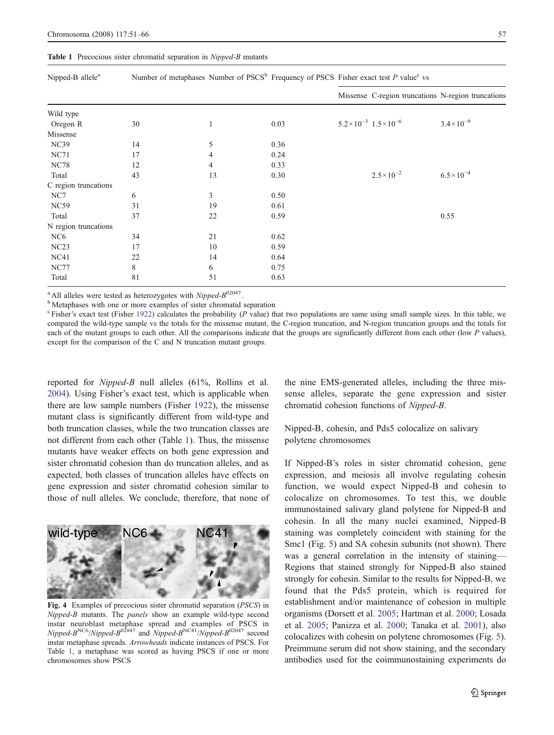<span id="page-6-0"></span>

|  | <b>Table 1</b> Precocious sister chromatid separation in <i>Nipped-B</i> mutants |  |  |  |  |  |  |
|--|----------------------------------------------------------------------------------|--|--|--|--|--|--|
|--|----------------------------------------------------------------------------------|--|--|--|--|--|--|

| Nipped-B allele <sup>a</sup> |    |    |      | Number of metaphases Number of PSCS <sup>b</sup> Frequency of PSCS Fisher exact test $P$ value <sup>c</sup> vs |                                                    |                      |  |
|------------------------------|----|----|------|----------------------------------------------------------------------------------------------------------------|----------------------------------------------------|----------------------|--|
|                              |    |    |      |                                                                                                                | Missense C-region truncations N-region truncations |                      |  |
| Wild type                    |    |    |      |                                                                                                                |                                                    |                      |  |
| Oregon R                     | 30 |    | 0.03 |                                                                                                                | $5.2 \times 10^{-3}$ $1.5 \times 10^{-6}$          | $3.4 \times 10^{-9}$ |  |
| Missense                     |    |    |      |                                                                                                                |                                                    |                      |  |
| NC39                         | 14 | 5  | 0.36 |                                                                                                                |                                                    |                      |  |
| NC71                         | 17 | 4  | 0.24 |                                                                                                                |                                                    |                      |  |
| <b>NC78</b>                  | 12 | 4  | 0.33 |                                                                                                                |                                                    |                      |  |
| Total                        | 43 | 13 | 0.30 |                                                                                                                | $2.5 \times 10^{-2}$                               | $6.5 \times 10^{-4}$ |  |
| C region truncations         |    |    |      |                                                                                                                |                                                    |                      |  |
| NC7                          | 6  | 3  | 0.50 |                                                                                                                |                                                    |                      |  |
| <b>NC59</b>                  | 31 | 19 | 0.61 |                                                                                                                |                                                    |                      |  |
| Total                        | 37 | 22 | 0.59 |                                                                                                                |                                                    | 0.55                 |  |
| N region truncations         |    |    |      |                                                                                                                |                                                    |                      |  |
| NC <sub>6</sub>              | 34 | 21 | 0.62 |                                                                                                                |                                                    |                      |  |
| NC23                         | 17 | 10 | 0.59 |                                                                                                                |                                                    |                      |  |
| NC41                         | 22 | 14 | 0.64 |                                                                                                                |                                                    |                      |  |
| NC77                         | 8  | 6  | 0.75 |                                                                                                                |                                                    |                      |  |
| Total                        | 81 | 51 | 0.63 |                                                                                                                |                                                    |                      |  |

<sup>a</sup> All alleles were tested as heterozygotes with Nipped- $B^{02047}$ .

<sup>b</sup> Metaphases with one or more examples of sister chromatid separation

 $c$  Fisher's exact test (Fisher [1922](#page-14-0)) calculates the probability (P value) that two populations are same using small sample sizes. In this table, we compared the wild-type sample vs the totals for the missense mutant, the C-region truncation, and N-region truncation groups and the totals for each of the mutant groups to each other. All the comparisons indicate that the groups are significantly different from each other (low P values), except for the comparison of the C and N truncation mutant groups.

reported for Nipped-B null alleles (61%, Rollins et al. [2004\)](#page-15-0). Using Fisher's exact test, which is applicable when there are low sample numbers (Fisher [1922\)](#page-14-0), the missense mutant class is significantly different from wild-type and both truncation classes, while the two truncation classes are not different from each other (Table 1). Thus, the missense mutants have weaker effects on both gene expression and sister chromatid cohesion than do truncation alleles, and as expected, both classes of truncation alleles have effects on gene expression and sister chromatid cohesion similar to those of null alleles. We conclude, therefore, that none of



Fig. 4 Examples of precocious sister chromatid separation (PSCS) in Nipped-B mutants. The panels show an example wild-type second instar neuroblast metaphase spread and examples of PSCS in Nipped-B<sup>NC4</sup>/Nipped-B<sup>02047</sup> second instar metaphase spreads. Arrowheads indicate instances of PSCS. For Table 1, a metaphase was scored as having PSCS if one or more chromosomes show PSCS

the nine EMS-generated alleles, including the three missense alleles, separate the gene expression and sister chromatid cohesion functions of Nipped-B.

Nipped-B, cohesin, and Pds5 colocalize on salivary polytene chromosomes

If Nipped-B's roles in sister chromatid cohesion, gene expression, and meiosis all involve regulating cohesin function, we would expect Nipped-B and cohesin to colocalize on chromosomes. To test this, we double immunostained salivary gland polytene for Nipped-B and cohesin. In all the many nuclei examined, Nipped-B staining was completely coincident with staining for the Smc1 (Fig. [5\)](#page-7-0) and SA cohesin subunits (not shown). There was a general correlation in the intensity of staining— Regions that stained strongly for Nipped-B also stained strongly for cohesin. Similar to the results for Nipped-B, we found that the Pds5 protein, which is required for establishment and/or maintenance of cohesion in multiple organisms (Dorsett et al. [2005;](#page-14-0) Hartman et al. [2000](#page-14-0); Losada et al. [2005](#page-14-0); Panizza et al. [2000;](#page-15-0) Tanaka et al. [2001\)](#page-15-0), also colocalizes with cohesin on polytene chromosomes (Fig. [5\)](#page-7-0). Preimmune serum did not show staining, and the secondary antibodies used for the coimmunostaining experiments do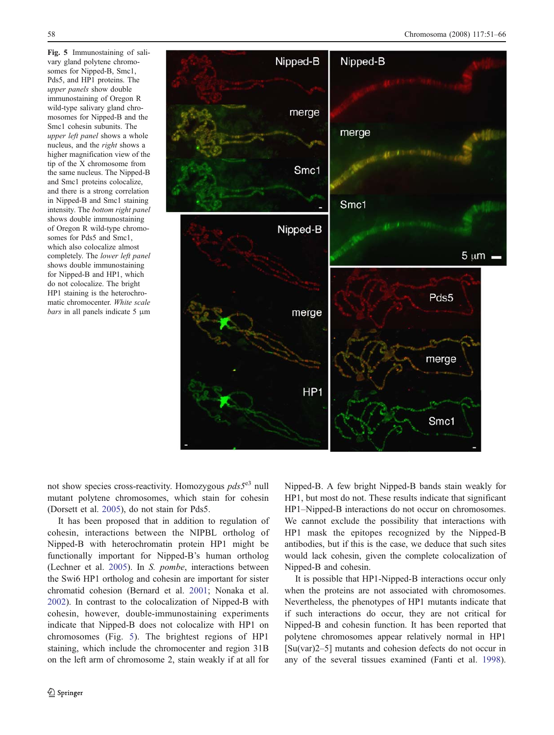<span id="page-7-0"></span>Fig. 5 Immunostaining of salivary gland polytene chromosomes for Nipped-B, Smc1, Pds5, and HP1 proteins. The upper panels show double immunostaining of Oregon R wild-type salivary gland chromosomes for Nipped-B and the Smc1 cohesin subunits. The upper left panel shows a whole nucleus, and the right shows a higher magnification view of the tip of the X chromosome from the same nucleus. The Nipped-B and Smc1 proteins colocalize, and there is a strong correlation in Nipped-B and Smc1 staining intensity. The bottom right panel shows double immunostaining of Oregon R wild-type chromosomes for Pds5 and Smc1, which also colocalize almost completely. The lower left panel shows double immunostaining for Nipped-B and HP1, which do not colocalize. The bright HP1 staining is the heterochromatic chromocenter. White scale bars in all panels indicate 5 μm



not show species cross-reactivity. Homozygous  $pds5^{e3}$  null mutant polytene chromosomes, which stain for cohesin (Dorsett et al. [2005\)](#page-14-0), do not stain for Pds5.

It has been proposed that in addition to regulation of cohesin, interactions between the NIPBL ortholog of Nipped-B with heterochromatin protein HP1 might be functionally important for Nipped-B's human ortholog (Lechner et al. [2005\)](#page-14-0). In S. pombe, interactions between the Swi6 HP1 ortholog and cohesin are important for sister chromatid cohesion (Bernard et al. [2001;](#page-13-0) Nonaka et al. [2002\)](#page-15-0). In contrast to the colocalization of Nipped-B with cohesin, however, double-immunostaining experiments indicate that Nipped-B does not colocalize with HP1 on chromosomes (Fig. 5). The brightest regions of HP1 staining, which include the chromocenter and region 31B on the left arm of chromosome 2, stain weakly if at all for

HP1, but most do not. These results indicate that significant HP1–Nipped-B interactions do not occur on chromosomes. We cannot exclude the possibility that interactions with HP1 mask the epitopes recognized by the Nipped-B antibodies, but if this is the case, we deduce that such sites would lack cohesin, given the complete colocalization of Nipped-B and cohesin. It is possible that HP1-Nipped-B interactions occur only

Nipped-B. A few bright Nipped-B bands stain weakly for

when the proteins are not associated with chromosomes. Nevertheless, the phenotypes of HP1 mutants indicate that if such interactions do occur, they are not critical for Nipped-B and cohesin function. It has been reported that polytene chromosomes appear relatively normal in HP1 [Su(var)2–5] mutants and cohesion defects do not occur in any of the several tissues examined (Fanti et al. [1998\)](#page-14-0).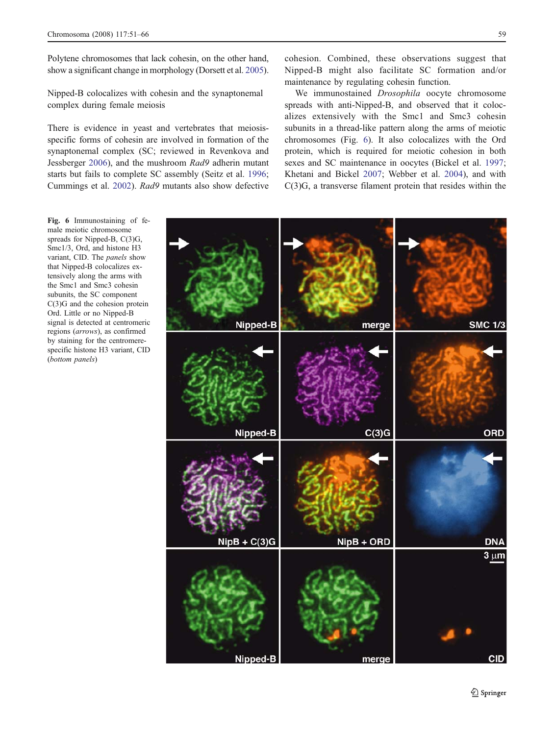<span id="page-8-0"></span>Polytene chromosomes that lack cohesin, on the other hand, show a significant change in morphology (Dorsett et al. [2005\)](#page-14-0).

Nipped-B colocalizes with cohesin and the synaptonemal complex during female meiosis

There is evidence in yeast and vertebrates that meiosisspecific forms of cohesin are involved in formation of the synaptonemal complex (SC; reviewed in Revenkova and Jessberger [2006](#page-15-0)), and the mushroom Rad9 adherin mutant starts but fails to complete SC assembly (Seitz et al. [1996](#page-15-0); Cummings et al. [2002](#page-14-0)). Rad9 mutants also show defective cohesion. Combined, these observations suggest that Nipped-B might also facilitate SC formation and/or maintenance by regulating cohesin function.

We immunostained Drosophila oocyte chromosome spreads with anti-Nipped-B, and observed that it colocalizes extensively with the Smc1 and Smc3 cohesin subunits in a thread-like pattern along the arms of meiotic chromosomes (Fig. 6). It also colocalizes with the Ord protein, which is required for meiotic cohesion in both sexes and SC maintenance in oocytes (Bickel et al. [1997;](#page-13-0) Khetani and Bickel [2007;](#page-14-0) Webber et al. [2004\)](#page-15-0), and with C(3)G, a transverse filament protein that resides within the



male meiotic chromosome spreads for Nipped-B, C(3)G, Smc1/3, Ord, and histone H3 variant, CID. The panels show that Nipped-B colocalizes extensively along the arms with the Smc1 and Smc3 cohesin subunits, the SC component C(3)G and the cohesion protein Ord. Little or no Nipped-B signal is detected at centromeric regions (arrows), as confirmed by staining for the centromerespecific histone H3 variant, CID (bottom panels)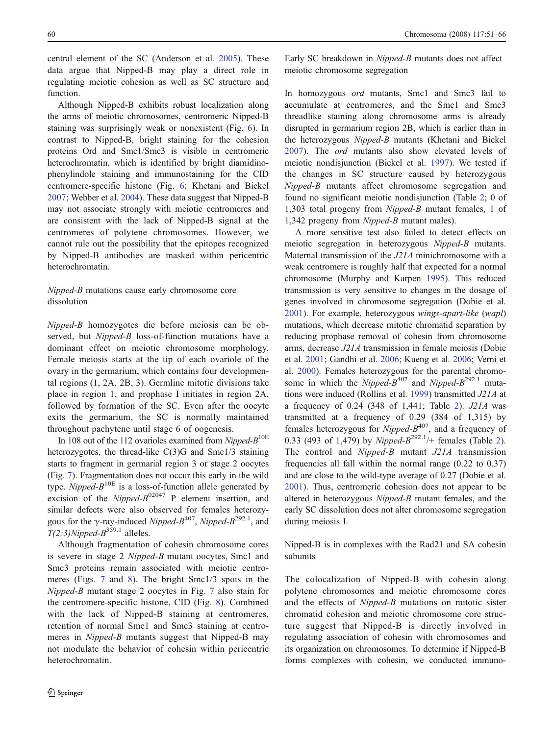central element of the SC (Anderson et al. [2005](#page-13-0)). These data argue that Nipped-B may play a direct role in regulating meiotic cohesion as well as SC structure and function.

Although Nipped-B exhibits robust localization along the arms of meiotic chromosomes, centromeric Nipped-B staining was surprisingly weak or nonexistent (Fig. [6](#page-8-0)). In contrast to Nipped-B, bright staining for the cohesion proteins Ord and Smc1/Smc3 is visible in centromeric heterochromatin, which is identified by bright diamidinophenylindole staining and immunostaining for the CID centromere-specific histone (Fig. [6](#page-8-0); Khetani and Bickel [2007;](#page-14-0) Webber et al. [2004\)](#page-15-0). These data suggest that Nipped-B may not associate strongly with meiotic centromeres and are consistent with the lack of Nipped-B signal at the centromeres of polytene chromosomes. However, we cannot rule out the possibility that the epitopes recognized by Nipped-B antibodies are masked within pericentric heterochromatin.

# Nipped-B mutations cause early chromosome core dissolution

Nipped-B homozygotes die before meiosis can be observed, but Nipped-B loss-of-function mutations have a dominant effect on meiotic chromosome morphology. Female meiosis starts at the tip of each ovariole of the ovary in the germarium, which contains four developmental regions (1, 2A, 2B, 3). Germline mitotic divisions take place in region 1, and prophase I initiates in region 2A, followed by formation of the SC. Even after the oocyte exits the germarium, the SC is normally maintained throughout pachytene until stage 6 of oogenesis.

In 108 out of the 112 ovarioles examined from  $Nipped-B$ <sup>10E</sup> heterozygotes, the thread-like C(3)G and Smc1/3 staining starts to fragment in germarial region 3 or stage 2 oocytes (Fig. [7\)](#page-10-0). Fragmentation does not occur this early in the wild type. Nipped- $B^{10E}$  is a loss-of-function allele generated by excision of the *Nipped-B*<sup>02047</sup> P element insertion, and similar defects were also observed for females heterozygous for the  $\gamma$ -ray-induced Nipped-B<sup>407</sup>, Nipped-B<sup>292.1</sup>, and  $T(2,3)$ Nipped-B<sup>359.1</sup> alleles.

Although fragmentation of cohesin chromosome cores is severe in stage 2 Nipped-B mutant oocytes, Smc1 and Smc3 proteins remain associated with meiotic centromeres (Figs. [7](#page-10-0) and [8](#page-11-0)). The bright Smc1/3 spots in the Nipped-B mutant stage 2 oocytes in Fig. [7](#page-10-0) also stain for the centromere-specific histone, CID (Fig. [8](#page-11-0)). Combined with the lack of Nipped-B staining at centromeres, retention of normal Smc1 and Smc3 staining at centromeres in Nipped-B mutants suggest that Nipped-B may not modulate the behavior of cohesin within pericentric heterochromatin.

Early SC breakdown in Nipped-B mutants does not affect meiotic chromosome segregation

In homozygous ord mutants, Smc1 and Smc3 fail to accumulate at centromeres, and the Smc1 and Smc3 threadlike staining along chromosome arms is already disrupted in germarium region 2B, which is earlier than in the heterozygous Nipped-B mutants (Khetani and Bickel [2007](#page-14-0)). The ord mutants also show elevated levels of meiotic nondisjunction (Bickel et al. [1997\)](#page-13-0). We tested if the changes in SC structure caused by heterozygous Nipped-B mutants affect chromosome segregation and found no significant meiotic nondisjunction (Table [2](#page-11-0); 0 of 1,303 total progeny from Nipped-B mutant females, 1 of 1,342 progeny from Nipped-B mutant males).

A more sensitive test also failed to detect effects on meiotic segregation in heterozygous Nipped-B mutants. Maternal transmission of the J21A minichromosome with a weak centromere is roughly half that expected for a normal chromosome (Murphy and Karpen [1995](#page-14-0)). This reduced transmission is very sensitive to changes in the dosage of genes involved in chromosome segregation (Dobie et al. [2001](#page-14-0)). For example, heterozygous wings-apart-like (wapl) mutations, which decrease mitotic chromatid separation by reducing prophase removal of cohesin from chromosome arms, decrease J21A transmission in female meiosis (Dobie et al. [2001;](#page-14-0) Gandhi et al. [2006](#page-14-0); Kueng et al. [2006](#page-14-0); Verni et al. [2000\)](#page-15-0). Females heterozygous for the parental chromosome in which the Nipped- $B^{407}$  and Nipped- $B^{292.1}$  mutations were induced (Rollins et al. [1999\)](#page-15-0) transmitted J21A at a frequency of 0.24 (348 of 1,441; Table [2\)](#page-11-0). J21A was transmitted at a frequency of 0.29 (384 of 1,315) by females heterozygous for *Nipped-B*<sup>407</sup>, and a frequency of 0.33 (493 of 1,479) by Nipped- $B^{292.1}/+$  females (Table [2\)](#page-11-0). The control and Nipped-B mutant J21A transmission frequencies all fall within the normal range (0.22 to 0.37) and are close to the wild-type average of 0.27 (Dobie et al. [2001](#page-14-0)). Thus, centromeric cohesion does not appear to be altered in heterozygous Nipped-B mutant females, and the early SC dissolution does not alter chromosome segregation during meiosis I.

Nipped-B is in complexes with the Rad21 and SA cohesin subunits

The colocalization of Nipped-B with cohesin along polytene chromosomes and meiotic chromosome cores and the effects of Nipped-B mutations on mitotic sister chromatid cohesion and meiotic chromosome core structure suggest that Nipped-B is directly involved in regulating association of cohesin with chromosomes and its organization on chromosomes. To determine if Nipped-B forms complexes with cohesin, we conducted immuno-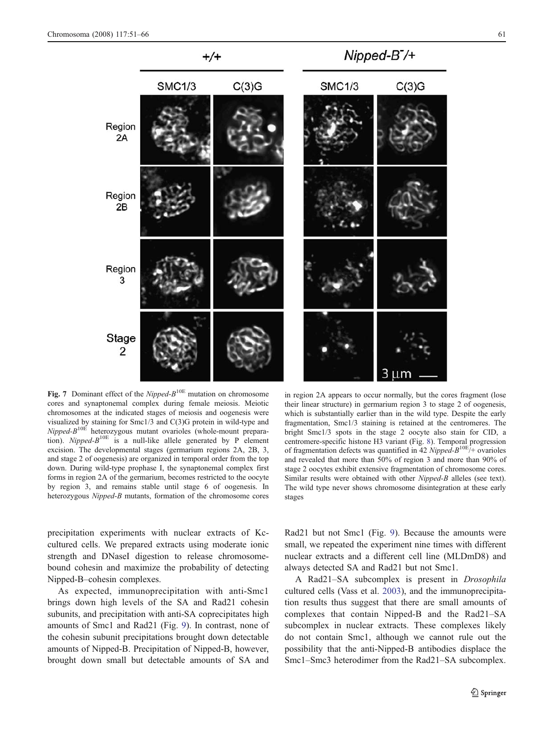<span id="page-10-0"></span>

Fig. 7 Dominant effect of the  $Nipped-B^{10E}$  mutation on chromosome cores and synaptonemal complex during female meiosis. Meiotic chromosomes at the indicated stages of meiosis and oogenesis were visualized by staining for Smc1/3 and C(3)G protein in wild-type and  $Nipped-B^{10E}$  heterozygous mutant ovarioles (whole-mount preparation). *Nipped-B*<sup>10E</sup> is a null-like allele generated by P element excision. The developmental stages (germarium regions 2A, 2B, 3, and stage 2 of oogenesis) are organized in temporal order from the top down. During wild-type prophase I, the synaptonemal complex first forms in region 2A of the germarium, becomes restricted to the oocyte by region 3, and remains stable until stage 6 of oogenesis. In heterozygous Nipped-B mutants, formation of the chromosome cores

precipitation experiments with nuclear extracts of Kccultured cells. We prepared extracts using moderate ionic strength and DNaseI digestion to release chromosomebound cohesin and maximize the probability of detecting Nipped-B–cohesin complexes.

As expected, immunoprecipitation with anti-Smc1 brings down high levels of the SA and Rad21 cohesin subunits, and precipitation with anti-SA coprecipitates high amounts of Smc1 and Rad21 (Fig. [9](#page-12-0)). In contrast, none of the cohesin subunit precipitations brought down detectable amounts of Nipped-B. Precipitation of Nipped-B, however, brought down small but detectable amounts of SA and

in region 2A appears to occur normally, but the cores fragment (lose their linear structure) in germarium region 3 to stage 2 of oogenesis, which is substantially earlier than in the wild type. Despite the early fragmentation, Smc1/3 staining is retained at the centromeres. The bright Smc1/3 spots in the stage 2 oocyte also stain for CID, a centromere-specific histone H3 variant (Fig. [8](#page-11-0)). Temporal progression of fragmentation defects was quantified in  $42$  Nipped-B<sup>10E</sup>/+ ovarioles and revealed that more than 50% of region 3 and more than 90% of stage 2 oocytes exhibit extensive fragmentation of chromosome cores. Similar results were obtained with other Nipped-B alleles (see text). The wild type never shows chromosome disintegration at these early stages

Rad21 but not Smc1 (Fig. [9](#page-12-0)). Because the amounts were small, we repeated the experiment nine times with different nuclear extracts and a different cell line (MLDmD8) and always detected SA and Rad21 but not Smc1.

A Rad21–SA subcomplex is present in Drosophila cultured cells (Vass et al. [2003](#page-15-0)), and the immunoprecipitation results thus suggest that there are small amounts of complexes that contain Nipped-B and the Rad21–SA subcomplex in nuclear extracts. These complexes likely do not contain Smc1, although we cannot rule out the possibility that the anti-Nipped-B antibodies displace the Smc1–Smc3 heterodimer from the Rad21–SA subcomplex.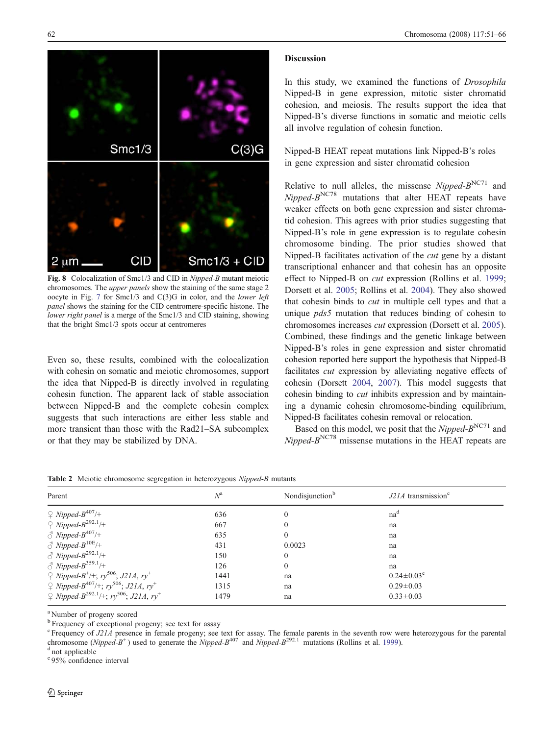<span id="page-11-0"></span>

Fig. 8 Colocalization of Smc1/3 and CID in Nipped-B mutant meiotic chromosomes. The upper panels show the staining of the same stage 2 oocyte in Fig. [7](#page-10-0) for Smc1/3 and C(3)G in color, and the lower left panel shows the staining for the CID centromere-specific histone. The lower right panel is a merge of the Smc1/3 and CID staining, showing that the bright Smc1/3 spots occur at centromeres

Even so, these results, combined with the colocalization with cohesin on somatic and meiotic chromosomes, support the idea that Nipped-B is directly involved in regulating cohesin function. The apparent lack of stable association between Nipped-B and the complete cohesin complex suggests that such interactions are either less stable and more transient than those with the Rad21–SA subcomplex or that they may be stabilized by DNA.

#### **Discussion**

In this study, we examined the functions of Drosophila Nipped-B in gene expression, mitotic sister chromatid cohesion, and meiosis. The results support the idea that Nipped-B's diverse functions in somatic and meiotic cells all involve regulation of cohesin function.

Nipped-B HEAT repeat mutations link Nipped-B's roles in gene expression and sister chromatid cohesion

Relative to null alleles, the missense Nipped- $B<sup>NC71</sup>$  and  $Nipped-B<sup>NC78</sup>$  mutations that alter HEAT repeats have weaker effects on both gene expression and sister chromatid cohesion. This agrees with prior studies suggesting that Nipped-B's role in gene expression is to regulate cohesin chromosome binding. The prior studies showed that Nipped-B facilitates activation of the cut gene by a distant transcriptional enhancer and that cohesin has an opposite effect to Nipped-B on cut expression (Rollins et al. [1999;](#page-15-0) Dorsett et al. [2005](#page-14-0); Rollins et al. [2004](#page-15-0)). They also showed that cohesin binds to cut in multiple cell types and that a unique *pds5* mutation that reduces binding of cohesin to chromosomes increases cut expression (Dorsett et al. [2005\)](#page-14-0). Combined, these findings and the genetic linkage between Nipped-B's roles in gene expression and sister chromatid cohesion reported here support the hypothesis that Nipped-B facilitates cut expression by alleviating negative effects of cohesin (Dorsett [2004,](#page-14-0) [2007](#page-14-0)). This model suggests that cohesin binding to cut inhibits expression and by maintaining a dynamic cohesin chromosome-binding equilibrium, Nipped-B facilitates cohesin removal or relocation.

Based on this model, we posit that the Nipped- $B<sup>NC71</sup>$  and  $Nipped-B<sup>NC78</sup>$  missense mutations in the HEAT repeats are

Table 2 Meiotic chromosome segregation in heterozygous Nipped-B mutants

| Parent                                                                  | $N^{\rm a}$ | Nondisjunction <sup>b</sup> | $J21A$ transmission <sup>c</sup> |
|-------------------------------------------------------------------------|-------------|-----------------------------|----------------------------------|
| $\mathcal{Q}$ Nipped-B <sup>407</sup> /+                                | 636         | 0                           | na <sup>d</sup>                  |
| $\mathcal{Q}$ Nipped-B <sup>292.1</sup> /+                              | 667         | 0                           | na                               |
| $\textcircled{1}$ Nipped-B <sup>407</sup> /+                            | 635         | $\theta$                    | na                               |
| $\textcircled{}^{\wedge}$ Nipped-B <sup>10E</sup> /+                    | 431         | 0.0023                      | na                               |
| $\textcircled{1}$ Nipped-B <sup>292.1</sup> /+                          | 150         | $\theta$                    | na                               |
| $\textcircled{}$ Nipped-B <sup>359.1</sup> /+                           | 126         | $\Omega$                    | na                               |
| $\varphi$ Nipped-B <sup>+</sup> /+; $ry^{506}$ ; J21A, $ry^{+}$         | 1441        | na                          | $0.24 \pm 0.03^e$                |
| $\mathcal{Q}$ Nipped-B <sup>407</sup> /+; $ry^{506}$ ; J21A, $ry^{+}$   | 1315        | na                          | $0.29 \pm 0.03$                  |
| $\mathcal{Q}$ Nipped-B <sup>292.1</sup> /+; $ry^{506}$ ; J21A, $ry^{+}$ | 1479        | na                          | $0.33 \pm 0.03$                  |

<sup>a</sup> Number of progeny scored

<sup>b</sup> Frequency of exceptional progeny; see text for assay

<sup>c</sup> Frequency of J21A presence in female progeny; see text for assay. The female parents in the seventh row were heterozygous for the parental chromosome (Nipped-B<sup>+</sup>) used to generate the Nipped-B<sup>407</sup> and Nipped-B<sup>292.1</sup> mutations (Rollins et al. [1999\)](#page-15-0). <sup>d</sup> not applicable

<sup>e</sup> 95% confidence interval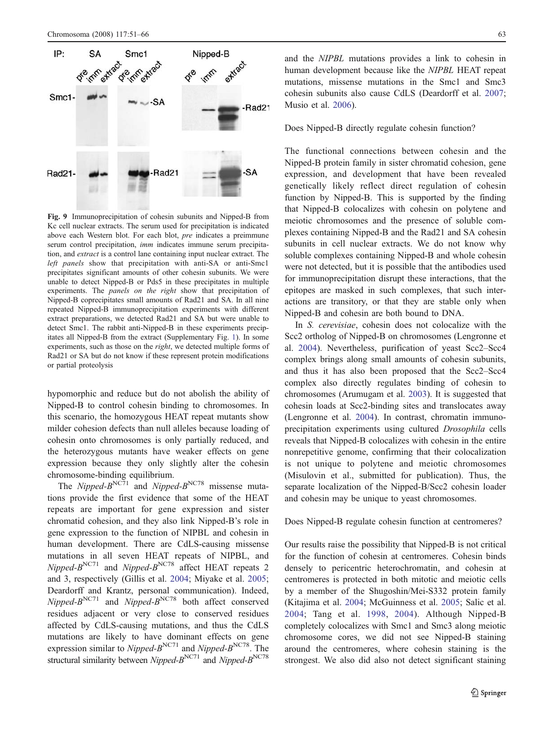<span id="page-12-0"></span>

Fig. 9 Immunoprecipitation of cohesin subunits and Nipped-B from Kc cell nuclear extracts. The serum used for precipitation is indicated above each Western blot. For each blot, pre indicates a preimmune serum control precipitation, *imm* indicates immune serum precipitation, and extract is a control lane containing input nuclear extract. The left panels show that precipitation with anti-SA or anti-Smc1 precipitates significant amounts of other cohesin subunits. We were unable to detect Nipped-B or Pds5 in these precipitates in multiple experiments. The *panels on the right* show that precipitation of Nipped-B coprecipitates small amounts of Rad21 and SA. In all nine repeated Nipped-B immunoprecipitation experiments with different extract preparations, we detected Rad21 and SA but were unable to detect Smc1. The rabbit anti-Nipped-B in these experiments precipitates all Nipped-B from the extract (Supplementary Fig. 1). In some experiments, such as those on the right, we detected multiple forms of Rad21 or SA but do not know if these represent protein modifications or partial proteolysis

hypomorphic and reduce but do not abolish the ability of Nipped-B to control cohesin binding to chromosomes. In this scenario, the homozygous HEAT repeat mutants show milder cohesion defects than null alleles because loading of cohesin onto chromosomes is only partially reduced, and the heterozygous mutants have weaker effects on gene expression because they only slightly alter the cohesin chromosome-binding equilibrium.

The Nipped- $B$ <sup>NC71</sup> and Nipped- $B$ <sup>NC78</sup> missense mutations provide the first evidence that some of the HEAT repeats are important for gene expression and sister chromatid cohesion, and they also link Nipped-B's role in gene expression to the function of NIPBL and cohesin in human development. There are CdLS-causing missense mutations in all seven HEAT repeats of NIPBL, and  $Nipped-B<sup>NC71</sup>$  and  $Nipped-B<sup>NC78</sup>$  affect HEAT repeats 2 and 3, respectively (Gillis et al. [2004;](#page-14-0) Miyake et al. [2005](#page-14-0); Deardorff and Krantz, personal communication). Indeed,  $Nipped-B<sup>NC71</sup>$  and  $Nipped-B<sup>NC78</sup>$  both affect conserved residues adjacent or very close to conserved residues affected by CdLS-causing mutations, and thus the CdLS mutations are likely to have dominant effects on gene expression similar to Nipped- $B$ <sup>NC71</sup> and Nipped- $B$ <sup>NC78</sup>. The structural similarity between Nipped- $B$ <sup>NC71</sup> and Nipped- $B$ <sup>NC78</sup>

and the NIPBL mutations provides a link to cohesin in human development because like the NIPBL HEAT repeat mutations, missense mutations in the Smc1 and Smc3 cohesin subunits also cause CdLS (Deardorff et al. [2007;](#page-14-0) Musio et al. [2006\)](#page-15-0).

Does Nipped-B directly regulate cohesin function?

The functional connections between cohesin and the Nipped-B protein family in sister chromatid cohesion, gene expression, and development that have been revealed genetically likely reflect direct regulation of cohesin function by Nipped-B. This is supported by the finding that Nipped-B colocalizes with cohesin on polytene and meiotic chromosomes and the presence of soluble complexes containing Nipped-B and the Rad21 and SA cohesin subunits in cell nuclear extracts. We do not know why soluble complexes containing Nipped-B and whole cohesin were not detected, but it is possible that the antibodies used for immunoprecipitation disrupt these interactions, that the epitopes are masked in such complexes, that such interactions are transitory, or that they are stable only when Nipped-B and cohesin are both bound to DNA.

In S. cerevisiae, cohesin does not colocalize with the Scc2 ortholog of Nipped-B on chromosomes (Lengronne et al. [2004\)](#page-14-0). Nevertheless, purification of yeast Scc2–Scc4 complex brings along small amounts of cohesin subunits, and thus it has also been proposed that the Scc2–Scc4 complex also directly regulates binding of cohesin to chromosomes (Arumugam et al. [2003](#page-13-0)). It is suggested that cohesin loads at Scc2-binding sites and translocates away (Lengronne et al. [2004](#page-14-0)). In contrast, chromatin immunoprecipitation experiments using cultured Drosophila cells reveals that Nipped-B colocalizes with cohesin in the entire nonrepetitive genome, confirming that their colocalization is not unique to polytene and meiotic chromosomes (Misulovin et al., submitted for publication). Thus, the separate localization of the Nipped-B/Scc2 cohesin loader and cohesin may be unique to yeast chromosomes.

Does Nipped-B regulate cohesin function at centromeres?

Our results raise the possibility that Nipped-B is not critical for the function of cohesin at centromeres. Cohesin binds densely to pericentric heterochromatin, and cohesin at centromeres is protected in both mitotic and meiotic cells by a member of the Shugoshin/Mei-S332 protein family (Kitajima et al. [2004](#page-14-0); McGuinness et al. [2005;](#page-14-0) Salic et al. [2004](#page-15-0); Tang et al. [1998](#page-15-0), [2004](#page-15-0)). Although Nipped-B completely colocalizes with Smc1 and Smc3 along meiotic chromosome cores, we did not see Nipped-B staining around the centromeres, where cohesin staining is the strongest. We also did also not detect significant staining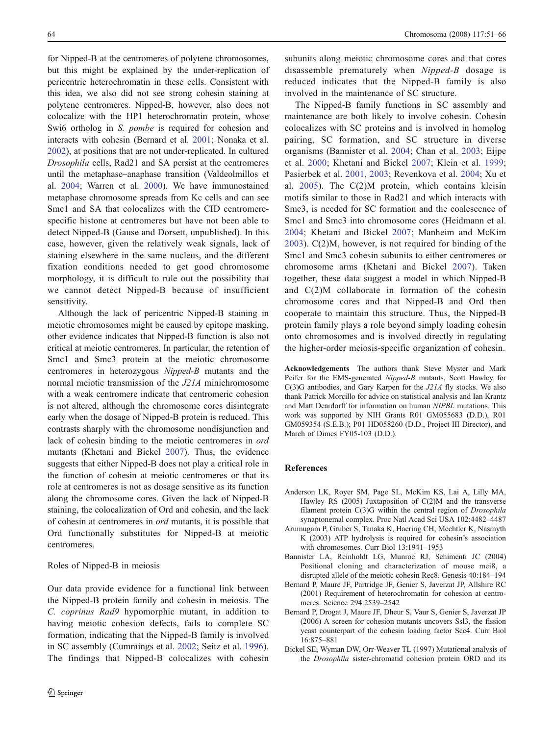<span id="page-13-0"></span>for Nipped-B at the centromeres of polytene chromosomes, but this might be explained by the under-replication of pericentric heterochromatin in these cells. Consistent with this idea, we also did not see strong cohesin staining at polytene centromeres. Nipped-B, however, also does not colocalize with the HP1 heterochromatin protein, whose Swi6 ortholog in S. *pombe* is required for cohesion and interacts with cohesin (Bernard et al. 2001; Nonaka et al. [2002\)](#page-15-0), at positions that are not under-replicated. In cultured Drosophila cells, Rad21 and SA persist at the centromeres until the metaphase–anaphase transition (Valdeolmillos et al. [2004;](#page-15-0) Warren et al. [2000\)](#page-15-0). We have immunostained metaphase chromosome spreads from Kc cells and can see Smc1 and SA that colocalizes with the CID centromerespecific histone at centromeres but have not been able to detect Nipped-B (Gause and Dorsett, unpublished). In this case, however, given the relatively weak signals, lack of staining elsewhere in the same nucleus, and the different fixation conditions needed to get good chromosome morphology, it is difficult to rule out the possibility that we cannot detect Nipped-B because of insufficient sensitivity.

Although the lack of pericentric Nipped-B staining in meiotic chromosomes might be caused by epitope masking, other evidence indicates that Nipped-B function is also not critical at meiotic centromeres. In particular, the retention of Smc1 and Smc3 protein at the meiotic chromosome centromeres in heterozygous Nipped-B mutants and the normal meiotic transmission of the J21A minichromosome with a weak centromere indicate that centromeric cohesion is not altered, although the chromosome cores disintegrate early when the dosage of Nipped-B protein is reduced. This contrasts sharply with the chromosome nondisjunction and lack of cohesin binding to the meiotic centromeres in *ord* mutants (Khetani and Bickel [2007](#page-14-0)). Thus, the evidence suggests that either Nipped-B does not play a critical role in the function of cohesin at meiotic centromeres or that its role at centromeres is not as dosage sensitive as its function along the chromosome cores. Given the lack of Nipped-B staining, the colocalization of Ord and cohesin, and the lack of cohesin at centromeres in ord mutants, it is possible that Ord functionally substitutes for Nipped-B at meiotic centromeres.

#### Roles of Nipped-B in meiosis

Our data provide evidence for a functional link between the Nipped-B protein family and cohesin in meiosis. The C. coprinus Rad9 hypomorphic mutant, in addition to having meiotic cohesion defects, fails to complete SC formation, indicating that the Nipped-B family is involved in SC assembly (Cummings et al. [2002](#page-14-0); Seitz et al. [1996](#page-15-0)). The findings that Nipped-B colocalizes with cohesin subunits along meiotic chromosome cores and that cores disassemble prematurely when Nipped-B dosage is reduced indicates that the Nipped-B family is also involved in the maintenance of SC structure.

The Nipped-B family functions in SC assembly and maintenance are both likely to involve cohesin. Cohesin colocalizes with SC proteins and is involved in homolog pairing, SC formation, and SC structure in diverse organisms (Bannister et al. 2004; Chan et al. [2003;](#page-14-0) Eijpe et al. [2000](#page-14-0); Khetani and Bickel [2007](#page-14-0); Klein et al. [1999;](#page-14-0) Pasierbek et al. [2001,](#page-15-0) [2003;](#page-15-0) Revenkova et al. [2004;](#page-15-0) Xu et al. [2005](#page-15-0)). The C(2)M protein, which contains kleisin motifs similar to those in Rad21 and which interacts with Smc3, is needed for SC formation and the coalescence of Smc1 and Smc3 into chromosome cores (Heidmann et al. [2004](#page-14-0); Khetani and Bickel [2007](#page-14-0); Manheim and McKim [2003](#page-14-0)). C(2)M, however, is not required for binding of the Smc1 and Smc3 cohesin subunits to either centromeres or chromosome arms (Khetani and Bickel [2007](#page-14-0)). Taken together, these data suggest a model in which Nipped-B and C(2)M collaborate in formation of the cohesin chromosome cores and that Nipped-B and Ord then cooperate to maintain this structure. Thus, the Nipped-B protein family plays a role beyond simply loading cohesin onto chromosomes and is involved directly in regulating the higher-order meiosis-specific organization of cohesin.

Acknowledgements The authors thank Steve Myster and Mark Peifer for the EMS-generated Nipped-B mutants, Scott Hawley for C(3)G antibodies, and Gary Karpen for the J21A fly stocks. We also thank Patrick Morcillo for advice on statistical analysis and Ian Krantz and Matt Deardorff for information on human NIPBL mutations. This work was supported by NIH Grants R01 GM055683 (D.D.), R01 GM059354 (S.E.B.); P01 HD058260 (D.D., Project III Director), and March of Dimes FY05-103 (D.D.).

#### References

- Anderson LK, Royer SM, Page SL, McKim KS, Lai A, Lilly MA, Hawley RS (2005) Juxtaposition of C(2)M and the transverse filament protein C(3)G within the central region of Drosophila synaptonemal complex. Proc Natl Acad Sci USA 102:4482–4487
- Arumugam P, Gruber S, Tanaka K, Haering CH, Mechtler K, Nasmyth K (2003) ATP hydrolysis is required for cohesin's association with chromosomes. Curr Biol 13:1941-1953
- Bannister LA, Reinholdt LG, Munroe RJ, Schimenti JC (2004) Positional cloning and characterization of mouse mei8, a disrupted allele of the meiotic cohesin Rec8. Genesis 40:184–194
- Bernard P, Maure JF, Partridge JF, Genier S, Javerzat JP, Allshire RC (2001) Requirement of heterochromatin for cohesion at centromeres. Science 294:2539–2542
- Bernard P, Drogat J, Maure JF, Dheur S, Vaur S, Genier S, Javerzat JP (2006) A screen for cohesion mutants uncovers Ssl3, the fission yeast counterpart of the cohesin loading factor Scc4. Curr Biol 16:875–881
- Bickel SE, Wyman DW, Orr-Weaver TL (1997) Mutational analysis of the Drosophila sister-chromatid cohesion protein ORD and its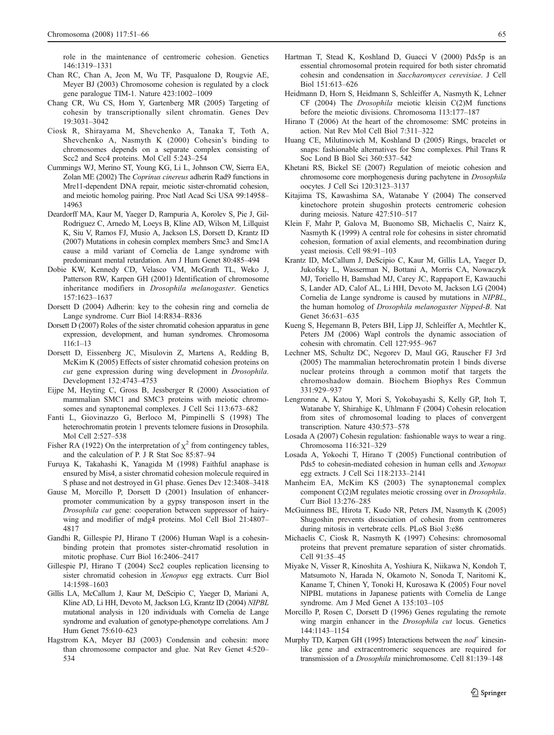<span id="page-14-0"></span>role in the maintenance of centromeric cohesion. Genetics 146:1319–1331

- Chan RC, Chan A, Jeon M, Wu TF, Pasqualone D, Rougvie AE, Meyer BJ (2003) Chromosome cohesion is regulated by a clock gene paralogue TIM-1. Nature 423:1002–1009
- Chang CR, Wu CS, Hom Y, Gartenberg MR (2005) Targeting of cohesin by transcriptionally silent chromatin. Genes Dev 19:3031–3042
- Ciosk R, Shirayama M, Shevchenko A, Tanaka T, Toth A, Shevchenko A, Nasmyth K (2000) Cohesin's binding to chromosomes depends on a separate complex consisting of Scc2 and Scc4 proteins. Mol Cell 5:243–254
- Cummings WJ, Merino ST, Young KG, Li L, Johnson CW, Sierra EA, Zolan ME (2002) The Coprinus cinereus adherin Rad9 functions in Mre11-dependent DNA repair, meiotic sister-chromatid cohesion, and meiotic homolog pairing. Proc Natl Acad Sci USA 99:14958– 14963
- Deardorff MA, Kaur M, Yaeger D, Rampuria A, Korolev S, Pie J, Gil-Rodriguez C, Arnedo M, Loeys B, Kline AD, Wilson M, Lillquist K, Siu V, Ramos FJ, Musio A, Jackson LS, Dorsett D, Krantz ID (2007) Mutations in cohesin complex members Smc3 and Smc1A cause a mild variant of Cornelia de Lange syndrome with predominant mental retardation. Am J Hum Genet 80:485–494
- Dobie KW, Kennedy CD, Velasco VM, McGrath TL, Weko J, Patterson RW, Karpen GH (2001) Identification of chromosome inheritance modifiers in Drosophila melanogaster. Genetics 157:1623–1637
- Dorsett D (2004) Adherin: key to the cohesin ring and cornelia de Lange syndrome. Curr Biol 14:R834–R836
- Dorsett D (2007) Roles of the sister chromatid cohesion apparatus in gene expression, development, and human syndromes. Chromosoma  $116:1-13$
- Dorsett D, Eissenberg JC, Misulovin Z, Martens A, Redding B, McKim K (2005) Effects of sister chromatid cohesion proteins on cut gene expression during wing development in Drosophila. Development 132:4743–4753
- Eijpe M, Heyting C, Gross B, Jessberger R (2000) Association of mammalian SMC1 and SMC3 proteins with meiotic chromosomes and synaptonemal complexes. J Cell Sci 113:673–682
- Fanti L, Giovinazzo G, Berloco M, Pimpinelli S (1998) The heterochromatin protein 1 prevents telomere fusions in Drosophila. Mol Cell 2:527–538
- Fisher RA (1922) On the interpretation of  $\chi^2$  from contingency tables, and the calculation of P. J R Stat Soc 85:87–94
- Furuya K, Takahashi K, Yanagida M (1998) Faithful anaphase is ensured by Mis4, a sister chromatid cohesion molecule required in S phase and not destroyed in G1 phase. Genes Dev 12:3408–3418
- Gause M, Morcillo P, Dorsett D (2001) Insulation of enhancerpromoter communication by a gypsy transposon insert in the Drosophila cut gene: cooperation between suppressor of hairywing and modifier of mdg4 proteins. Mol Cell Biol 21:4807– 4817
- Gandhi R, Gillespie PJ, Hirano T (2006) Human Wapl is a cohesinbinding protein that promotes sister-chromatid resolution in mitotic prophase. Curr Biol 16:2406–2417
- Gillespie PJ, Hirano T (2004) Scc2 couples replication licensing to sister chromatid cohesion in Xenopus egg extracts. Curr Biol 14:1598–1603
- Gillis LA, McCallum J, Kaur M, DeScipio C, Yaeger D, Mariani A, Kline AD, Li HH, Devoto M, Jackson LG, Krantz ID (2004) NIPBL mutational analysis in 120 individuals with Cornelia de Lange syndrome and evaluation of genotype-phenotype correlations. Am J Hum Genet 75:610–623
- Hagstrom KA, Meyer BJ (2003) Condensin and cohesin: more than chromosome compactor and glue. Nat Rev Genet 4:520– 534
- Hartman T, Stead K, Koshland D, Guacci V (2000) Pds5p is an essential chromosomal protein required for both sister chromatid cohesin and condensation in Saccharomyces cerevisiae. J Cell Biol 151:613–626
- Heidmann D, Horn S, Heidmann S, Schleiffer A, Nasmyth K, Lehner CF (2004) The Drosophila meiotic kleisin C(2)M functions before the meiotic divisions. Chromosoma 113:177–187
- Hirano T (2006) At the heart of the chromosome: SMC proteins in action. Nat Rev Mol Cell Biol 7:311–322
- Huang CE, Milutinovich M, Koshland D (2005) Rings, bracelet or snaps: fashionable alternatives for Smc complexes. Phil Trans R Soc Lond B Biol Sci 360:537–542
- Khetani RS, Bickel SE (2007) Regulation of meiotic cohesion and chromosome core morphogenesis during pachytene in Drosophila oocytes. J Cell Sci 120:3123–3137
- Kitajima TS, Kawashima SA, Watanabe Y (2004) The conserved kinetochore protein shugoshin protects centromeric cohesion during meiosis. Nature 427:510–517
- Klein F, Mahr P, Galova M, Buonomo SB, Michaelis C, Nairz K, Nasmyth K (1999) A central role for cohesins in sister chromatid cohesion, formation of axial elements, and recombination during yeast meiosis. Cell 98:91–103
- Krantz ID, McCallum J, DeScipio C, Kaur M, Gillis LA, Yaeger D, Jukofsky L, Wasserman N, Bottani A, Morris CA, Nowaczyk MJ, Toriello H, Bamshad MJ, Carey JC, Rappaport E, Kawauchi S, Lander AD, Calof AL, Li HH, Devoto M, Jackson LG (2004) Cornelia de Lange syndrome is caused by mutations in NIPBL, the human homolog of Drosophila melanogaster Nipped-B. Nat Genet 36:631–635
- Kueng S, Hegemann B, Peters BH, Lipp JJ, Schleiffer A, Mechtler K, Peters JM (2006) Wapl controls the dynamic association of cohesin with chromatin. Cell 127:955–967
- Lechner MS, Schultz DC, Negorev D, Maul GG, Rauscher FJ 3rd (2005) The mammalian heterochromatin protein 1 binds diverse nuclear proteins through a common motif that targets the chromoshadow domain. Biochem Biophys Res Commun 331:929–937
- Lengronne A, Katou Y, Mori S, Yokobayashi S, Kelly GP, Itoh T, Watanabe Y, Shirahige K, Uhlmann F (2004) Cohesin relocation from sites of chromosomal loading to places of convergent transcription. Nature 430:573–578
- Losada A (2007) Cohesin regulation: fashionable ways to wear a ring. Chromosoma 116:321–329
- Losada A, Yokochi T, Hirano T (2005) Functional contribution of Pds5 to cohesin-mediated cohesion in human cells and Xenopus egg extracts. J Cell Sci 118:2133–2141
- Manheim EA, McKim KS (2003) The synaptonemal complex component C(2)M regulates meiotic crossing over in Drosophila. Curr Biol 13:276–285
- McGuinness BE, Hirota T, Kudo NR, Peters JM, Nasmyth K (2005) Shugoshin prevents dissociation of cohesin from centromeres during mitosis in vertebrate cells. PLoS Biol 3:e86
- Michaelis C, Ciosk R, Nasmyth K (1997) Cohesins: chromosomal proteins that prevent premature separation of sister chromatids. Cell 91:35–45
- Miyake N, Visser R, Kinoshita A, Yoshiura K, Niikawa N, Kondoh T, Matsumoto N, Harada N, Okamoto N, Sonoda T, Naritomi K, Kaname T, Chinen Y, Tonoki H, Kurosawa K (2005) Four novel NIPBL mutations in Japanese patients with Cornelia de Lange syndrome. Am J Med Genet A 135:103–105
- Morcillo P, Rosen C, Dorsett D (1996) Genes regulating the remote wing margin enhancer in the Drosophila cut locus. Genetics 144:1143–1154
- Murphy TD, Karpen GH (1995) Interactions between the  $nod<sup>+</sup>$  kinesinlike gene and extracentromeric sequences are required for transmission of a Drosophila minichromosome. Cell 81:139–148